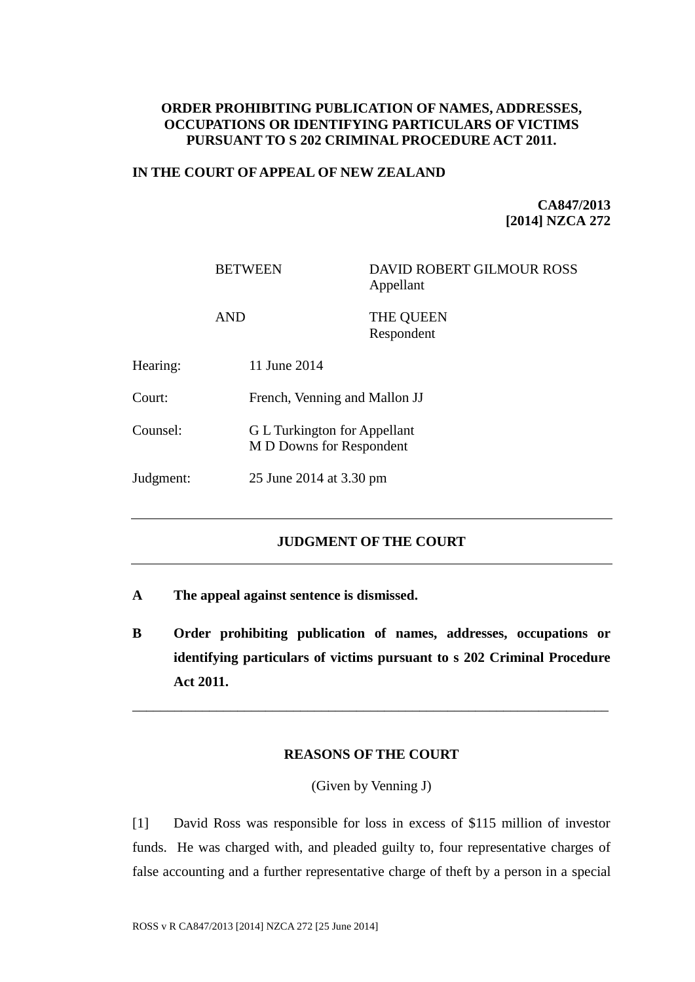## **ORDER PROHIBITING PUBLICATION OF NAMES, ADDRESSES, OCCUPATIONS OR IDENTIFYING PARTICULARS OF VICTIMS PURSUANT TO S 202 CRIMINAL PROCEDURE ACT 2011.**

## **IN THE COURT OF APPEAL OF NEW ZEALAND**

**CA847/2013 [2014] NZCA 272**

BETWEEN DAVID ROBERT GILMOUR ROSS Appellant

AND THE OUEEN Respondent

| Hearing:  | 11 June 2014                                             |
|-----------|----------------------------------------------------------|
| Court:    | French, Venning and Mallon JJ                            |
| Counsel:  | G L Turkington for Appellant<br>M D Downs for Respondent |
| Judgment: | 25 June 2014 at 3.30 pm                                  |

# **JUDGMENT OF THE COURT**

- **A The appeal against sentence is dismissed.**
- **B Order prohibiting publication of names, addresses, occupations or identifying particulars of victims pursuant to s 202 Criminal Procedure Act 2011.**

### **REASONS OF THE COURT**

\_\_\_\_\_\_\_\_\_\_\_\_\_\_\_\_\_\_\_\_\_\_\_\_\_\_\_\_\_\_\_\_\_\_\_\_\_\_\_\_\_\_\_\_\_\_\_\_\_\_\_\_\_\_\_\_\_\_\_\_\_\_\_\_\_\_\_\_

(Given by Venning J)

[1] David Ross was responsible for loss in excess of \$115 million of investor funds. He was charged with, and pleaded guilty to, four representative charges of false accounting and a further representative charge of theft by a person in a special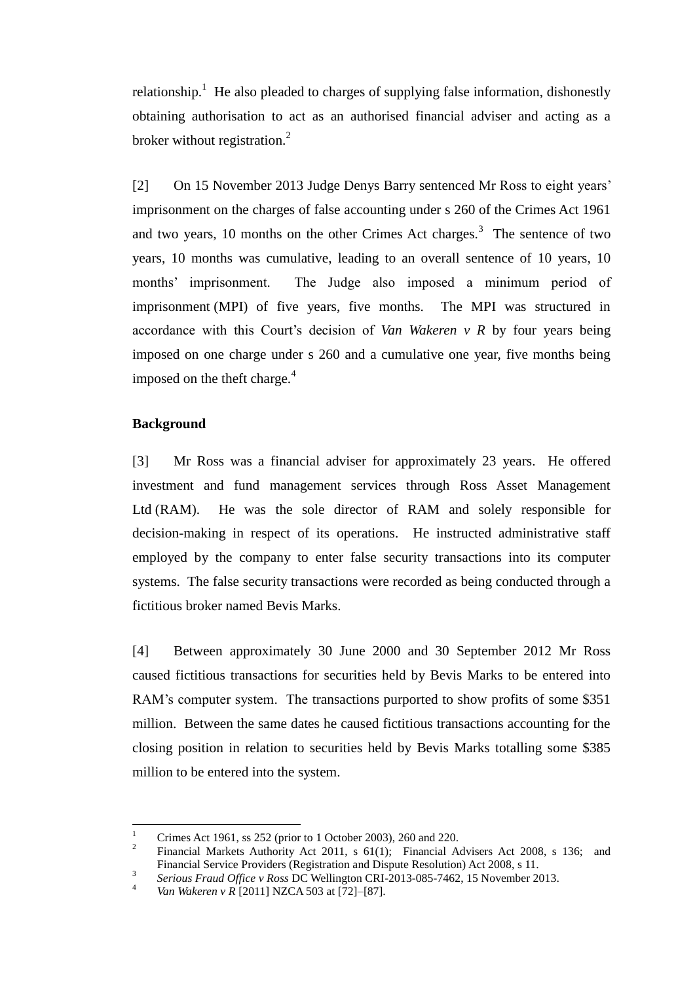relationship.<sup>1</sup> He also pleaded to charges of supplying false information, dishonestly obtaining authorisation to act as an authorised financial adviser and acting as a broker without registration. $^{2}$ 

[2] On 15 November 2013 Judge Denys Barry sentenced Mr Ross to eight years' imprisonment on the charges of false accounting under s 260 of the Crimes Act 1961 and two years, 10 months on the other Crimes Act charges.<sup>3</sup> The sentence of two years, 10 months was cumulative, leading to an overall sentence of 10 years, 10 months' imprisonment. The Judge also imposed a minimum period of imprisonment (MPI) of five years, five months. The MPI was structured in accordance with this Court's decision of *Van Wakeren v R* by four years being imposed on one charge under s 260 and a cumulative one year, five months being imposed on the theft charge. $4$ 

#### **Background**

 $\overline{a}$ 

[3] Mr Ross was a financial adviser for approximately 23 years. He offered investment and fund management services through Ross Asset Management Ltd (RAM). He was the sole director of RAM and solely responsible for decision-making in respect of its operations. He instructed administrative staff employed by the company to enter false security transactions into its computer systems. The false security transactions were recorded as being conducted through a fictitious broker named Bevis Marks.

[4] Between approximately 30 June 2000 and 30 September 2012 Mr Ross caused fictitious transactions for securities held by Bevis Marks to be entered into RAM's computer system. The transactions purported to show profits of some \$351 million. Between the same dates he caused fictitious transactions accounting for the closing position in relation to securities held by Bevis Marks totalling some \$385 million to be entered into the system.

<sup>1</sup> Crimes Act 1961, ss 252 (prior to 1 October 2003), 260 and 220.

<sup>2</sup> Financial Markets Authority Act 2011, s 61(1); Financial Advisers Act 2008, s 136; and Financial Service Providers (Registration and Dispute Resolution) Act 2008, s 11.

<sup>3</sup> *Serious Fraud Office v Ross* DC Wellington CRI-2013-085-7462, 15 November 2013.

<sup>4</sup> *Van Wakeren v R* [2011] NZCA 503 at [72]–[87].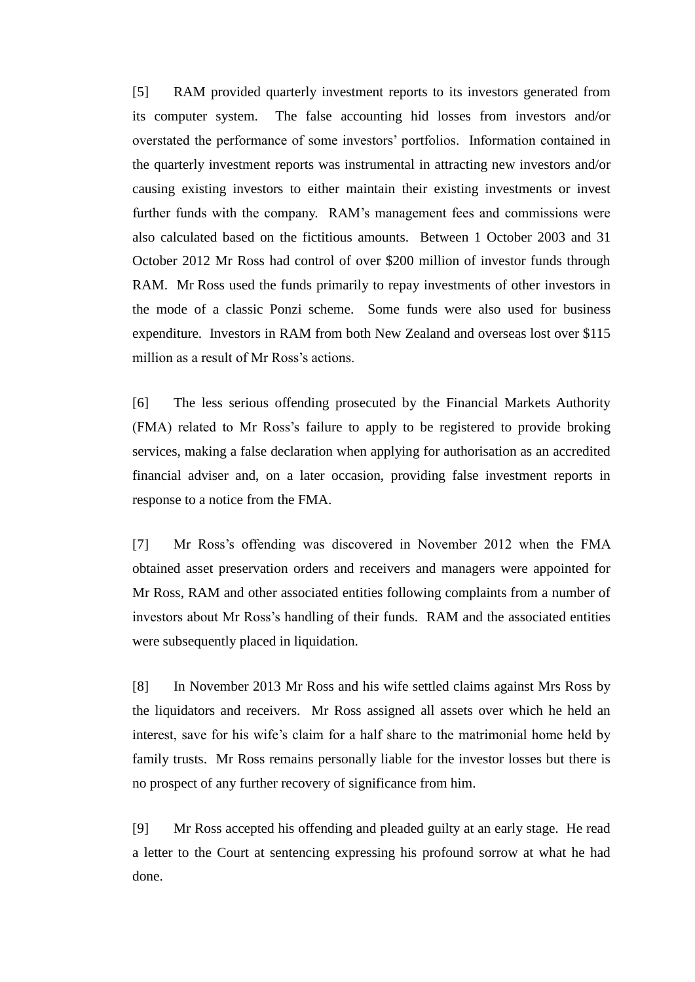[5] RAM provided quarterly investment reports to its investors generated from its computer system. The false accounting hid losses from investors and/or overstated the performance of some investors' portfolios. Information contained in the quarterly investment reports was instrumental in attracting new investors and/or causing existing investors to either maintain their existing investments or invest further funds with the company. RAM's management fees and commissions were also calculated based on the fictitious amounts. Between 1 October 2003 and 31 October 2012 Mr Ross had control of over \$200 million of investor funds through RAM. Mr Ross used the funds primarily to repay investments of other investors in the mode of a classic Ponzi scheme. Some funds were also used for business expenditure. Investors in RAM from both New Zealand and overseas lost over \$115 million as a result of Mr Ross's actions.

[6] The less serious offending prosecuted by the Financial Markets Authority (FMA) related to Mr Ross's failure to apply to be registered to provide broking services, making a false declaration when applying for authorisation as an accredited financial adviser and, on a later occasion, providing false investment reports in response to a notice from the FMA.

[7] Mr Ross's offending was discovered in November 2012 when the FMA obtained asset preservation orders and receivers and managers were appointed for Mr Ross, RAM and other associated entities following complaints from a number of investors about Mr Ross's handling of their funds. RAM and the associated entities were subsequently placed in liquidation.

[8] In November 2013 Mr Ross and his wife settled claims against Mrs Ross by the liquidators and receivers. Mr Ross assigned all assets over which he held an interest, save for his wife's claim for a half share to the matrimonial home held by family trusts. Mr Ross remains personally liable for the investor losses but there is no prospect of any further recovery of significance from him.

[9] Mr Ross accepted his offending and pleaded guilty at an early stage. He read a letter to the Court at sentencing expressing his profound sorrow at what he had done.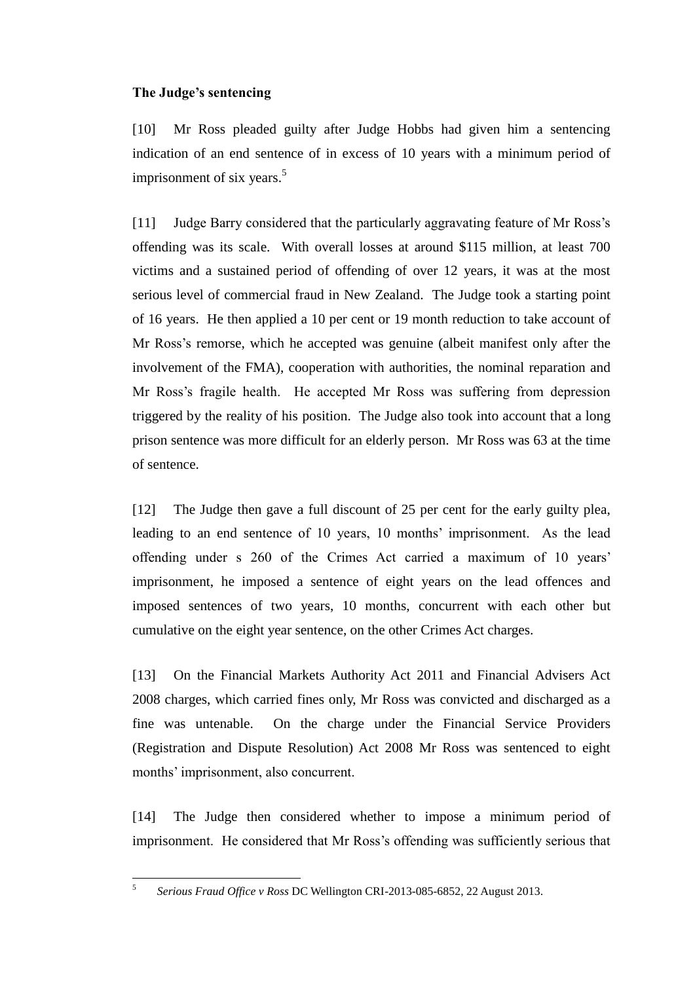## **The Judge's sentencing**

[10] Mr Ross pleaded guilty after Judge Hobbs had given him a sentencing indication of an end sentence of in excess of 10 years with a minimum period of imprisonment of six years.<sup>5</sup>

[11] Judge Barry considered that the particularly aggravating feature of Mr Ross's offending was its scale. With overall losses at around \$115 million, at least 700 victims and a sustained period of offending of over 12 years, it was at the most serious level of commercial fraud in New Zealand. The Judge took a starting point of 16 years. He then applied a 10 per cent or 19 month reduction to take account of Mr Ross's remorse, which he accepted was genuine (albeit manifest only after the involvement of the FMA), cooperation with authorities, the nominal reparation and Mr Ross's fragile health. He accepted Mr Ross was suffering from depression triggered by the reality of his position. The Judge also took into account that a long prison sentence was more difficult for an elderly person. Mr Ross was 63 at the time of sentence.

[12] The Judge then gave a full discount of 25 per cent for the early guilty plea, leading to an end sentence of 10 years, 10 months' imprisonment. As the lead offending under s 260 of the Crimes Act carried a maximum of 10 years' imprisonment, he imposed a sentence of eight years on the lead offences and imposed sentences of two years, 10 months, concurrent with each other but cumulative on the eight year sentence, on the other Crimes Act charges.

[13] On the Financial Markets Authority Act 2011 and Financial Advisers Act 2008 charges, which carried fines only, Mr Ross was convicted and discharged as a fine was untenable. On the charge under the Financial Service Providers (Registration and Dispute Resolution) Act 2008 Mr Ross was sentenced to eight months' imprisonment, also concurrent.

[14] The Judge then considered whether to impose a minimum period of imprisonment. He considered that Mr Ross's offending was sufficiently serious that

 $\frac{1}{5}$ *Serious Fraud Office v Ross* DC Wellington CRI-2013-085-6852, 22 August 2013.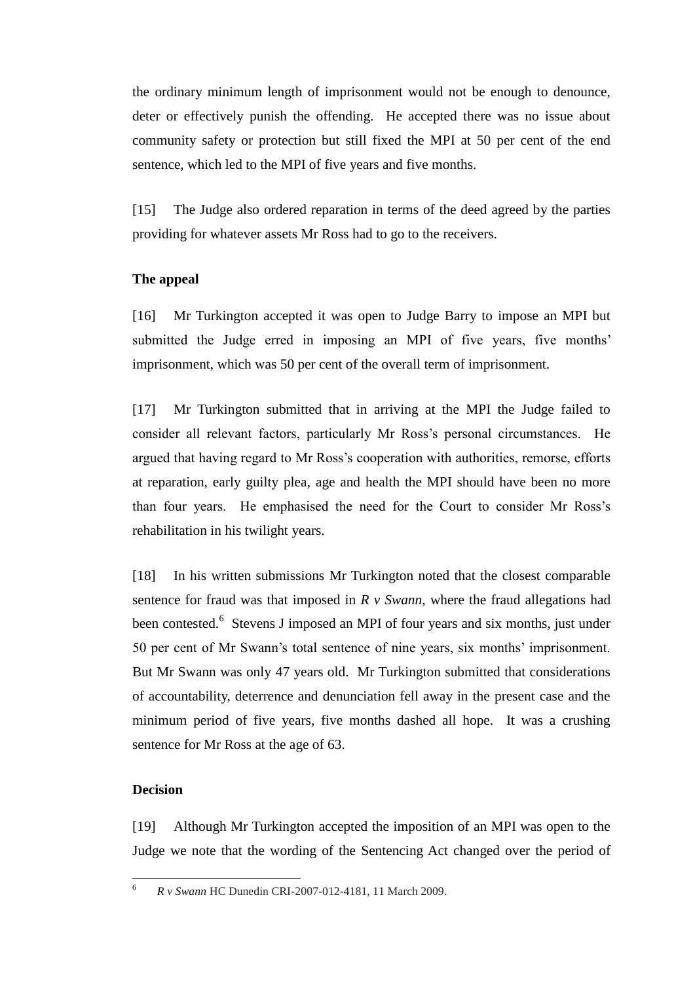the ordinary minimum length of imprisonment would not be enough to denounce, deter or effectively punish the offending. He accepted there was no issue about community safety or protection but still fixed the MPI at 50 per cent of the end sentence, which led to the MPI of five years and five months.

[15] The Judge also ordered reparation in terms of the deed agreed by the parties providing for whatever assets Mr Ross had to go to the receivers.

## **The appeal**

[16] Mr Turkington accepted it was open to Judge Barry to impose an MPI but submitted the Judge erred in imposing an MPI of five years, five months' imprisonment, which was 50 per cent of the overall term of imprisonment.

[17] Mr Turkington submitted that in arriving at the MPI the Judge failed to consider all relevant factors, particularly Mr Ross's personal circumstances. He argued that having regard to Mr Ross's cooperation with authorities, remorse, efforts at reparation, early guilty plea, age and health the MPI should have been no more than four years. He emphasised the need for the Court to consider Mr Ross's rehabilitation in his twilight years.

[18] In his written submissions Mr Turkington noted that the closest comparable sentence for fraud was that imposed in *R v Swann*, where the fraud allegations had been contested.<sup>6</sup> Stevens J imposed an MPI of four years and six months, just under 50 per cent of Mr Swann's total sentence of nine years, six months' imprisonment. But Mr Swann was only 47 years old. Mr Turkington submitted that considerations of accountability, deterrence and denunciation fell away in the present case and the minimum period of five years, five months dashed all hope. It was a crushing sentence for Mr Ross at the age of 63.

### **Decision**

[19] Although Mr Turkington accepted the imposition of an MPI was open to the Judge we note that the wording of the Sentencing Act changed over the period of

 $\sqrt{6}$ <sup>6</sup> *R v Swann* HC Dunedin CRI-2007-012-4181, 11 March 2009.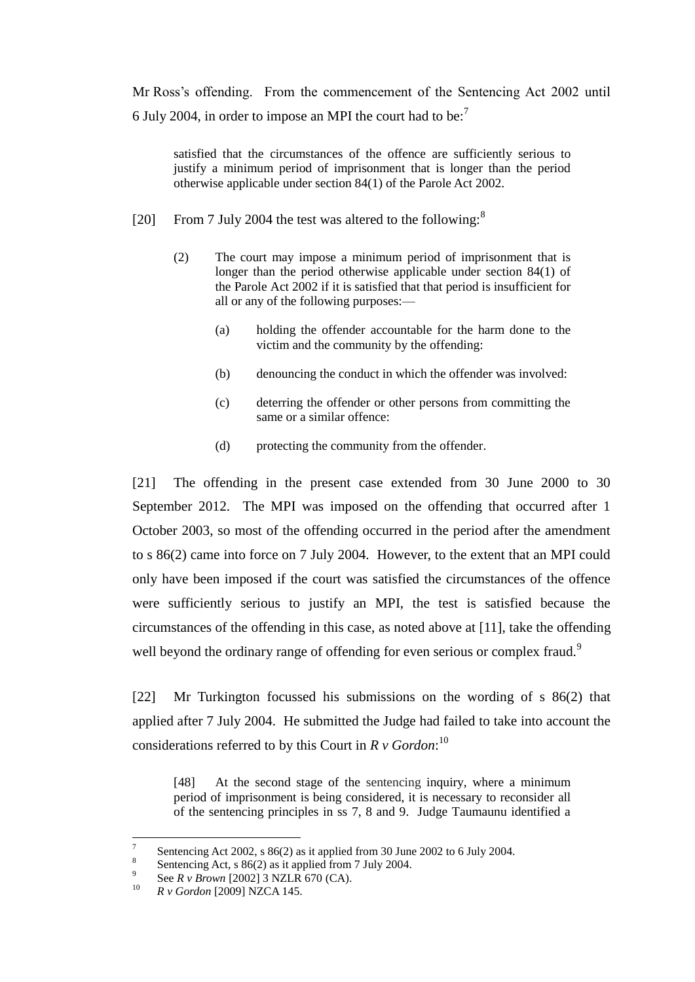Mr Ross's offending. From the commencement of the Sentencing Act 2002 until 6 July 2004, in order to impose an MPI the court had to be:<sup>7</sup>

satisfied that the circumstances of the offence are sufficiently serious to justify a minimum period of imprisonment that is longer than the period otherwise applicable under section 84(1) of the Parole Act 2002.

- [20] From 7 July 2004 the test was altered to the following:<sup>8</sup>
	- (2) The court may impose a minimum period of imprisonment that is longer than the period otherwise applicable under section 84(1) of the Parole Act 2002 if it is satisfied that that period is insufficient for all or any of the following purposes:—
		- (a) holding the offender accountable for the harm done to the victim and the community by the offending:
		- (b) denouncing the conduct in which the offender was involved:
		- (c) deterring the offender or other persons from committing the same or a similar offence:
		- (d) protecting the community from the offender.

[21] The offending in the present case extended from 30 June 2000 to 30 September 2012. The MPI was imposed on the offending that occurred after 1 October 2003, so most of the offending occurred in the period after the amendment to s 86(2) came into force on 7 July 2004. However, to the extent that an MPI could only have been imposed if the court was satisfied the circumstances of the offence were sufficiently serious to justify an MPI, the test is satisfied because the circumstances of the offending in this case, as noted above at [11], take the offending well beyond the ordinary range of offending for even serious or complex fraud.<sup>9</sup>

[22] Mr Turkington focussed his submissions on the wording of s 86(2) that applied after 7 July 2004. He submitted the Judge had failed to take into account the considerations referred to by this Court in *R v Gordon*: 10

[48] At the second stage of the sentencing inquiry, where a minimum period of imprisonment is being considered, it is necessary to reconsider all of the sentencing principles in ss 7, 8 and 9. Judge Taumaunu identified a

 $\frac{1}{7}$ Sentencing Act 2002, s 86(2) as it applied from 30 June 2002 to 6 July 2004.

<sup>8</sup> Sentencing Act, s 86(2) as it applied from 7 July 2004.

<sup>9</sup> See *R v Brown* [2002] 3 NZLR 670 (CA).

<sup>10</sup> *R v Gordon* [2009] NZCA 145.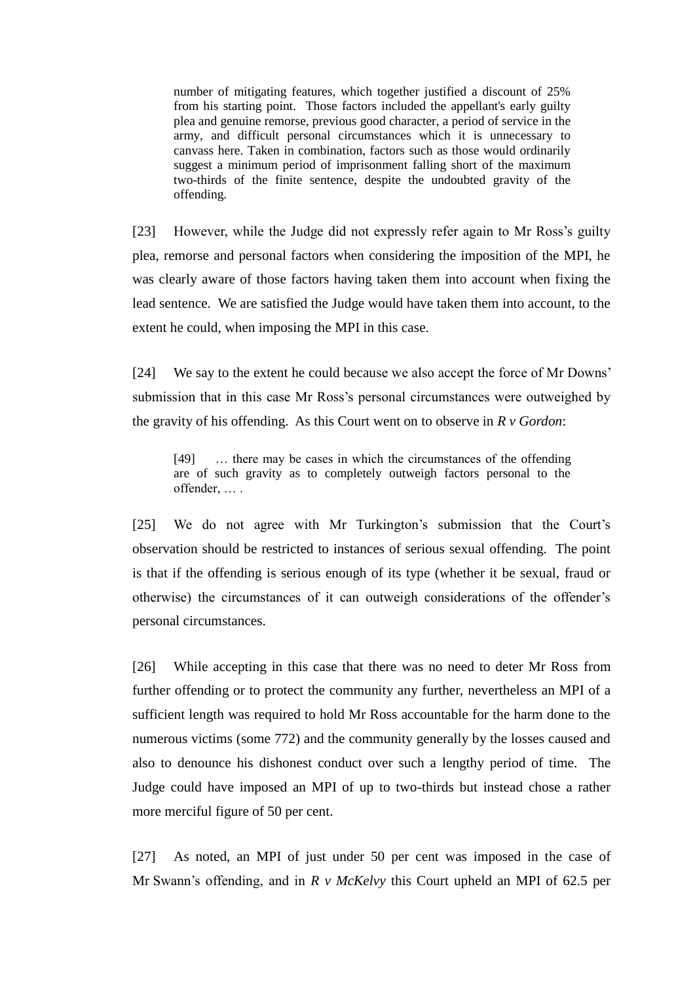number of mitigating features, which together justified a discount of 25% from his starting point. Those factors included the appellant's early guilty plea and genuine remorse, previous good character, a period of service in the army, and difficult personal circumstances which it is unnecessary to canvass here. Taken in combination, factors such as those would ordinarily suggest a minimum period of imprisonment falling short of the maximum two-thirds of the finite sentence, despite the undoubted gravity of the offending.

[23] However, while the Judge did not expressly refer again to Mr Ross's guilty plea, remorse and personal factors when considering the imposition of the MPI, he was clearly aware of those factors having taken them into account when fixing the lead sentence. We are satisfied the Judge would have taken them into account, to the extent he could, when imposing the MPI in this case.

[24] We say to the extent he could because we also accept the force of Mr Downs' submission that in this case Mr Ross's personal circumstances were outweighed by the gravity of his offending. As this Court went on to observe in *R v Gordon*:

[49] … there may be cases in which the circumstances of the offending are of such gravity as to completely outweigh factors personal to the offender, … .

[25] We do not agree with Mr Turkington's submission that the Court's observation should be restricted to instances of serious sexual offending. The point is that if the offending is serious enough of its type (whether it be sexual, fraud or otherwise) the circumstances of it can outweigh considerations of the offender's personal circumstances.

[26] While accepting in this case that there was no need to deter Mr Ross from further offending or to protect the community any further, nevertheless an MPI of a sufficient length was required to hold Mr Ross accountable for the harm done to the numerous victims (some 772) and the community generally by the losses caused and also to denounce his dishonest conduct over such a lengthy period of time. The Judge could have imposed an MPI of up to two-thirds but instead chose a rather more merciful figure of 50 per cent.

[27] As noted, an MPI of just under 50 per cent was imposed in the case of Mr Swann's offending, and in *R v McKelvy* this Court upheld an MPI of 62.5 per